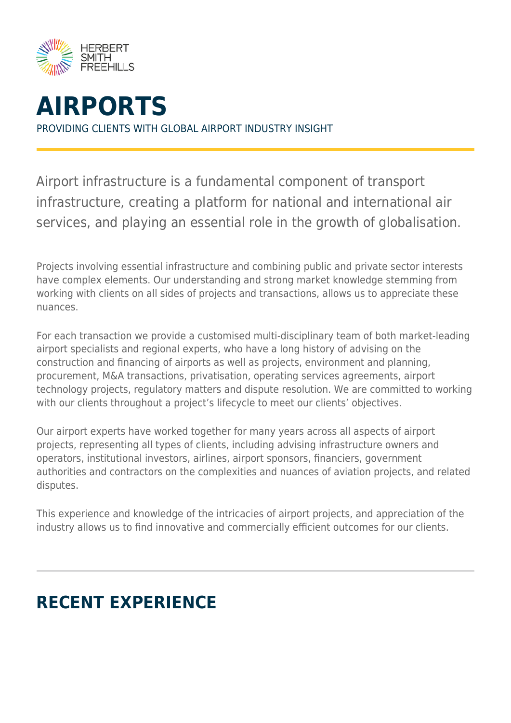



Airport infrastructure is a fundamental component of transport infrastructure, creating a platform for national and international air services, and playing an essential role in the growth of globalisation.

Projects involving essential infrastructure and combining public and private sector interests have complex elements. Our understanding and strong market knowledge stemming from working with clients on all sides of projects and transactions, allows us to appreciate these nuances.

For each transaction we provide a customised multi-disciplinary team of both market-leading airport specialists and regional experts, who have a long history of advising on the construction and financing of airports as well as projects, environment and planning, procurement, M&A transactions, privatisation, operating services agreements, airport technology projects, regulatory matters and dispute resolution. We are committed to working with our clients throughout a project's lifecycle to meet our clients' objectives.

Our airport experts have worked together for many years across all aspects of airport projects, representing all types of clients, including advising infrastructure owners and operators, institutional investors, airlines, airport sponsors, financiers, government authorities and contractors on the complexities and nuances of aviation projects, and related disputes.

This experience and knowledge of the intricacies of airport projects, and appreciation of the industry allows us to find innovative and commercially efficient outcomes for our clients.

# **RECENT EXPERIENCE**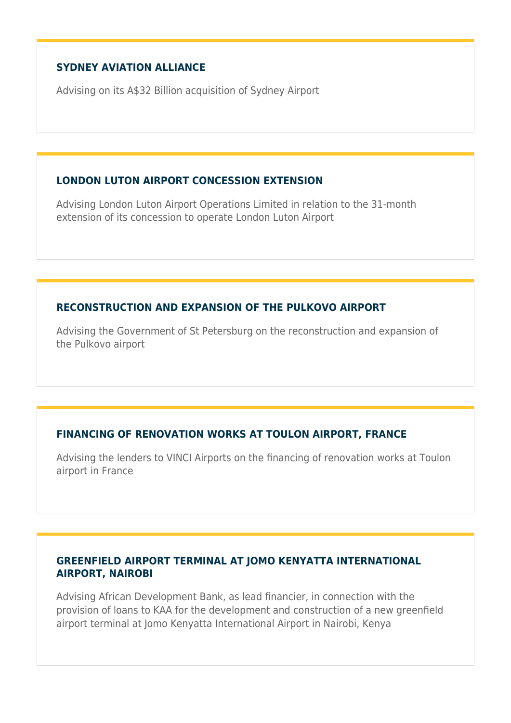## **SYDNEY AVIATION ALLIANCE**

Advising on its A\$32 Billion acquisition of Sydney Airport

#### **LONDON LUTON AIRPORT CONCESSION EXTENSION**

Advising London Luton Airport Operations Limited in relation to the 31-month extension of its concession to operate London Luton Airport

#### **RECONSTRUCTION AND EXPANSION OF THE PULKOVO AIRPORT**

Advising the Government of St Petersburg on the reconstruction and expansion of the Pulkovo airport

## **FINANCING OF RENOVATION WORKS AT TOULON AIRPORT, FRANCE**

Advising the lenders to VINCI Airports on the financing of renovation works at Toulon airport in France

## **GREENFIELD AIRPORT TERMINAL AT JOMO KENYATTA INTERNATIONAL AIRPORT, NAIROBI**

Advising African Development Bank, as lead financier, in connection with the provision of loans to KAA for the development and construction of a new greenfield airport terminal at Jomo Kenyatta International Airport in Nairobi, Kenya